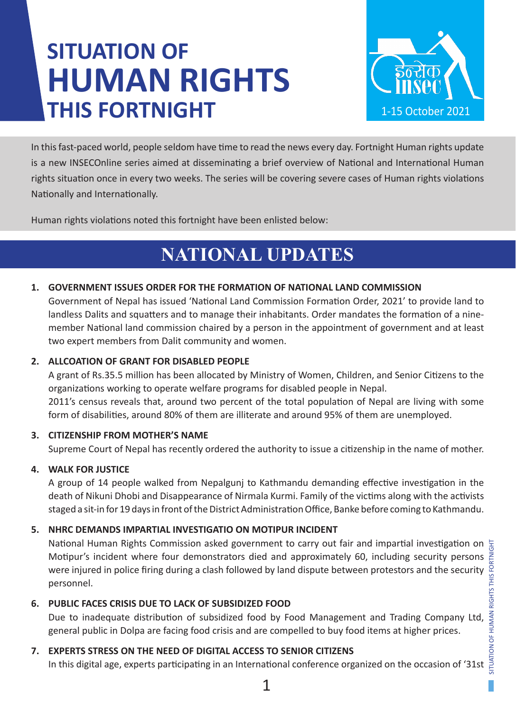# **SITUATION OF HUMAN RIGHTS THIS FORTNIGHT**



In this fast-paced world, people seldom have time to read the news every day. Fortnight Human rights update is a new INSECOnline series aimed at disseminating a brief overview of National and International Human rights situation once in every two weeks. The series will be covering severe cases of Human rights violations Nationally and Internationally.

Human rights violations noted this fortnight have been enlisted below:

# **NATIONAL UPDATES**

### **1. GOVERNMENT ISSUES ORDER FOR THE FORMATION OF NATIONAL LAND COMMISSION**

Government of Nepal has issued 'National Land Commission Formation Order, 2021' to provide land to landless Dalits and squatters and to manage their inhabitants. Order mandates the formation of a ninemember National land commission chaired by a person in the appointment of government and at least two expert members from Dalit community and women.

#### **2. ALLCOATION OF GRANT FOR DISABLED PEOPLE**

A grant of Rs.35.5 million has been allocated by Ministry of Women, Children, and Senior Citizens to the organizations working to operate welfare programs for disabled people in Nepal. 2011's census reveals that, around two percent of the total population of Nepal are living with some form of disabilities, around 80% of them are illiterate and around 95% of them are unemployed.

#### **3. CITIZENSHIP FROM MOTHER'S NAME**

Supreme Court of Nepal has recently ordered the authority to issue a citizenship in the name of mother.

### **4. WALK FOR JUSTICE**

A group of 14 people walked from Nepalgunj to Kathmandu demanding effective investigation in the death of Nikuni Dhobi and Disappearance of Nirmala Kurmi. Family of the victims along with the activists staged a sit-in for 19 days in front of the District Administration Office, Banke before coming to Kathmandu.

### **5. NHRC DEMANDS IMPARTIAL INVESTIGATIO ON MOTIPUR INCIDENT**

National Human Rights Commission asked government to carry out fair and impartial investigation on  $\frac{1}{2}$ Motipur's incident where four demonstrators died and approximately 60, including security persons were injured in police firing during a clash followed by land dispute between protestors and the security personnel.

### **6. PUBLIC FACES CRISIS DUE TO LACK OF SUBSIDIZED FOOD**

Due to inadequate distribution of subsidized food by Food Management and Trading Company Ltd, general public in Dolpa are facing food crisis and are compelled to buy food items at higher prices.

### **7. EXPERTS STRESS ON THE NEED OF DIGITAL ACCESS TO SENIOR CITIZENS**

In this digital age, experts participating in an International conference organized on the occasion of '31st